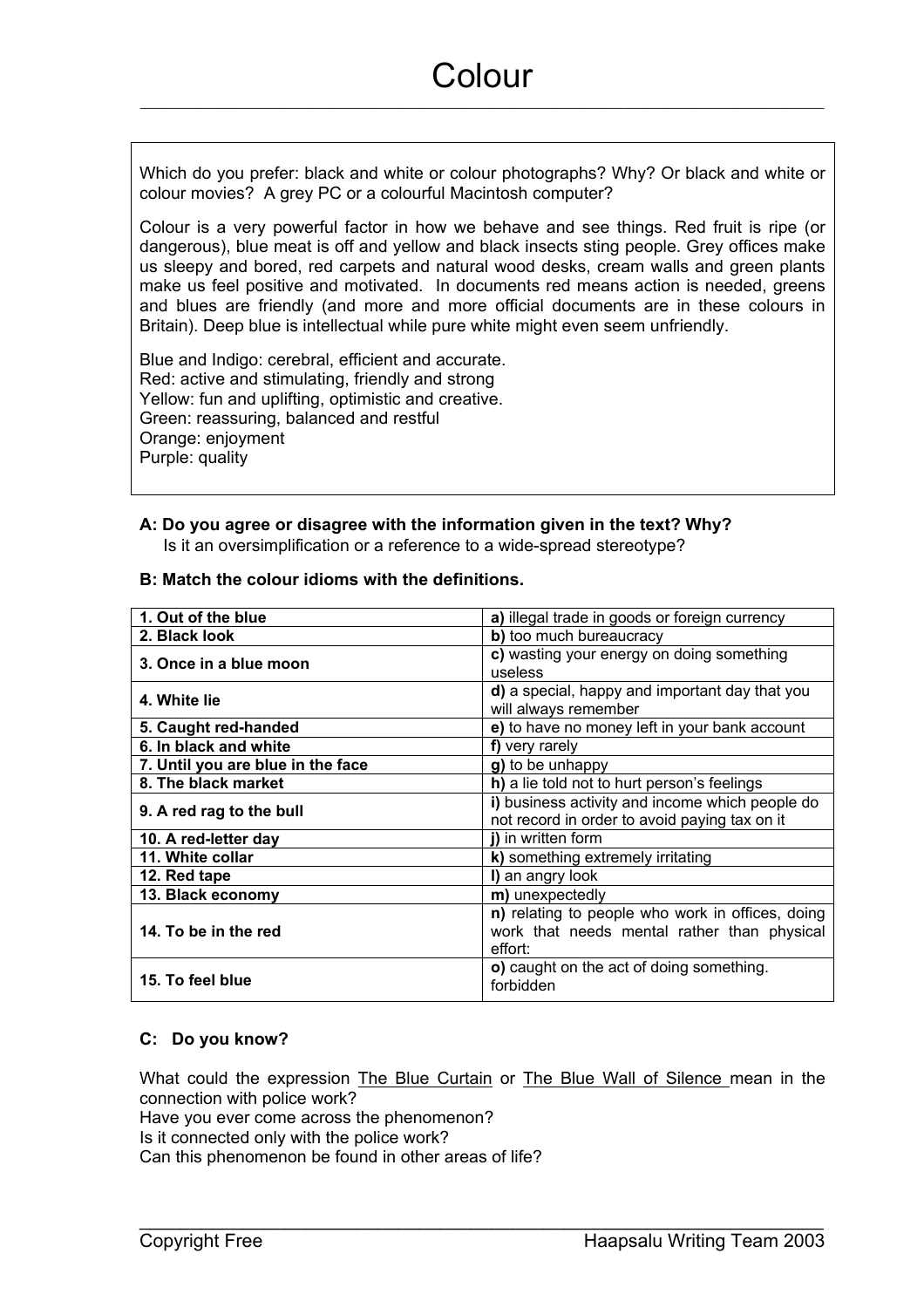Which do you prefer: black and white or colour photographs? Why? Or black and white or colour movies? A grey PC or a colourful Macintosh computer?

Colour is a very powerful factor in how we behave and see things. Red fruit is ripe (or dangerous), blue meat is off and yellow and black insects sting people. Grey offices make us sleepy and bored, red carpets and natural wood desks, cream walls and green plants make us feel positive and motivated. In documents red means action is needed, greens and blues are friendly (and more and more official documents are in these colours in Britain). Deep blue is intellectual while pure white might even seem unfriendly.

Blue and Indigo: cerebral, efficient and accurate. Red: active and stimulating, friendly and strong Yellow: fun and uplifting, optimistic and creative. Green: reassuring, balanced and restful Orange: enjoyment Purple: quality

**A: Do you agree or disagree with the information given in the text? Why?** Is it an oversimplification or a reference to a wide-spread stereotype?

#### **B: Match the colour idioms with the definitions.**

| 1. Out of the blue                | a) illegal trade in goods or foreign currency    |
|-----------------------------------|--------------------------------------------------|
| 2. Black look                     | b) too much bureaucracy                          |
| 3. Once in a blue moon            | c) wasting your energy on doing something        |
|                                   | useless                                          |
| 4. White lie                      | d) a special, happy and important day that you   |
|                                   | will always remember                             |
| 5. Caught red-handed              | e) to have no money left in your bank account    |
| 6. In black and white             | f) very rarely                                   |
| 7. Until you are blue in the face | g) to be unhappy                                 |
| 8. The black market               | h) a lie told not to hurt person's feelings      |
| 9. A red rag to the bull          | i) business activity and income which people do  |
|                                   | not record in order to avoid paying tax on it    |
| 10. A red-letter day              | <i>i</i> ) in written form                       |
| 11. White collar                  | k) something extremely irritating                |
| 12. Red tape                      | I) an angry look                                 |
| 13. Black economy                 | m) unexpectedly                                  |
| 14. To be in the red              | n) relating to people who work in offices, doing |
|                                   | work that needs mental rather than physical      |
|                                   | effort:                                          |
| 15. To feel blue                  | o) caught on the act of doing something.         |
|                                   | forbidden                                        |

### **C: Do you know?**

What could the expression The Blue Curtain or The Blue Wall of Silence mean in the connection with police work?

 $\_$ 

Have you ever come across the phenomenon?

Is it connected only with the police work?

Can this phenomenon be found in other areas of life?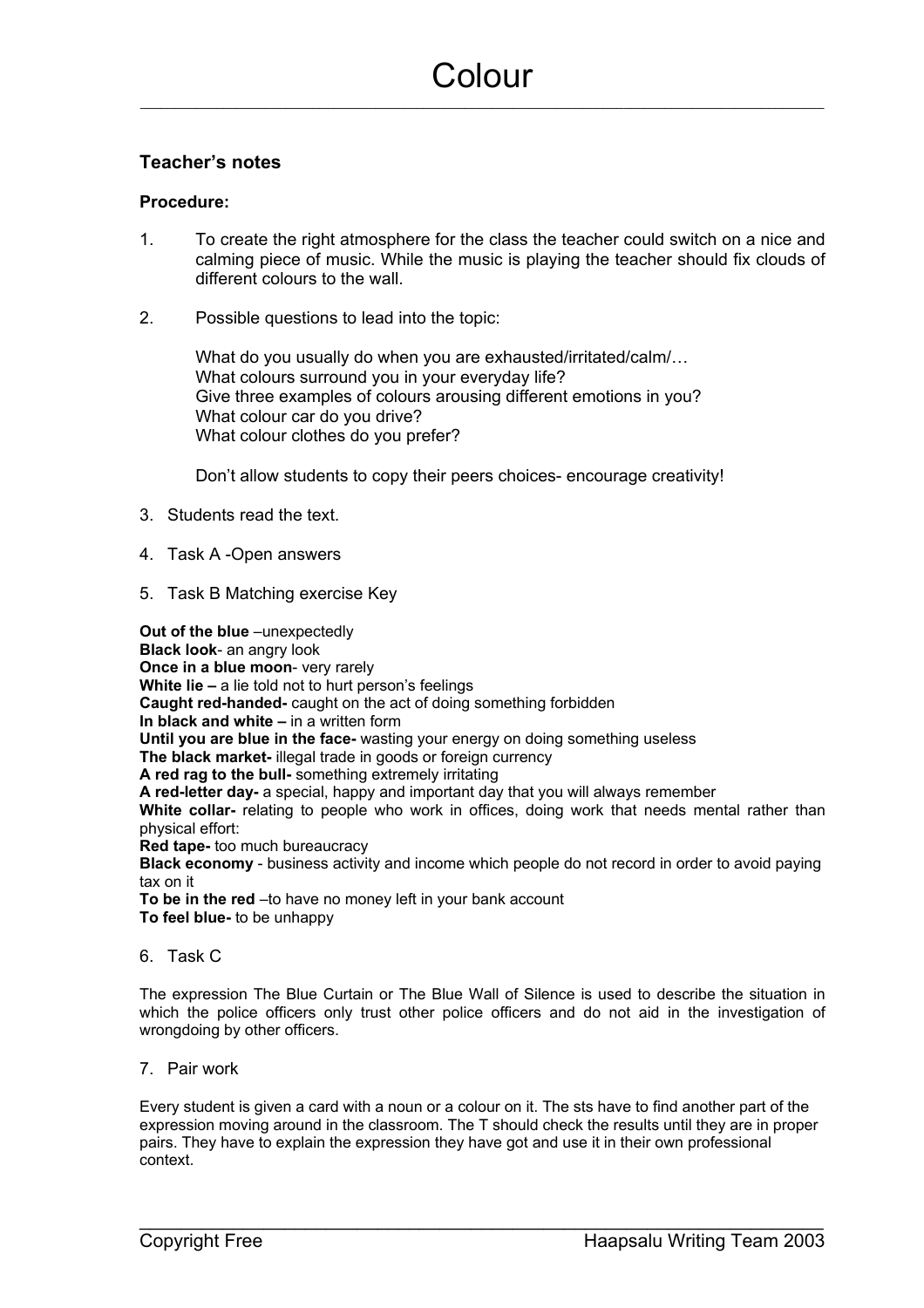# **Teacher's notes**

### **Procedure:**

- 1. To create the right atmosphere for the class the teacher could switch on a nice and calming piece of music. While the music is playing the teacher should fix clouds of different colours to the wall.
- 2. Possible questions to lead into the topic:

What do you usually do when you are exhausted/irritated/calm/... What colours surround you in your everyday life? Give three examples of colours arousing different emotions in you? What colour car do you drive? What colour clothes do you prefer?

Don't allow students to copy their peers choices- encourage creativity!

- 3. Students read the text.
- 4. Task A -Open answers
- 5. Task B Matching exercise Key

**Out of the blue** –unexpectedly **Black look**- an angry look **Once in a blue moon**- very rarely **White lie –** a lie told not to hurt person's feelings **Caught red-handed-** caught on the act of doing something forbidden **In black and white –** in a written form **Until you are blue in the face-** wasting your energy on doing something useless **The black market-** illegal trade in goods or foreign currency **A red rag to the bull-** something extremely irritating **A red-letter day-** a special, happy and important day that you will always remember White collar- relating to people who work in offices, doing work that needs mental rather than physical effort: **Red tape-** too much bureaucracy **Black economy** - business activity and income which people do not record in order to avoid paying tax on it **To be in the red** –to have no money left in your bank account **To feel blue-** to be unhappy

6. Task C

The expression The Blue Curtain or The Blue Wall of Silence is used to describe the situation in which the police officers only trust other police officers and do not aid in the investigation of wrongdoing by other officers.

7. Pair work

Every student is given a card with a noun or a colour on it. The sts have to find another part of the expression moving around in the classroom. The T should check the results until they are in proper pairs. They have to explain the expression they have got and use it in their own professional context.

 $\_$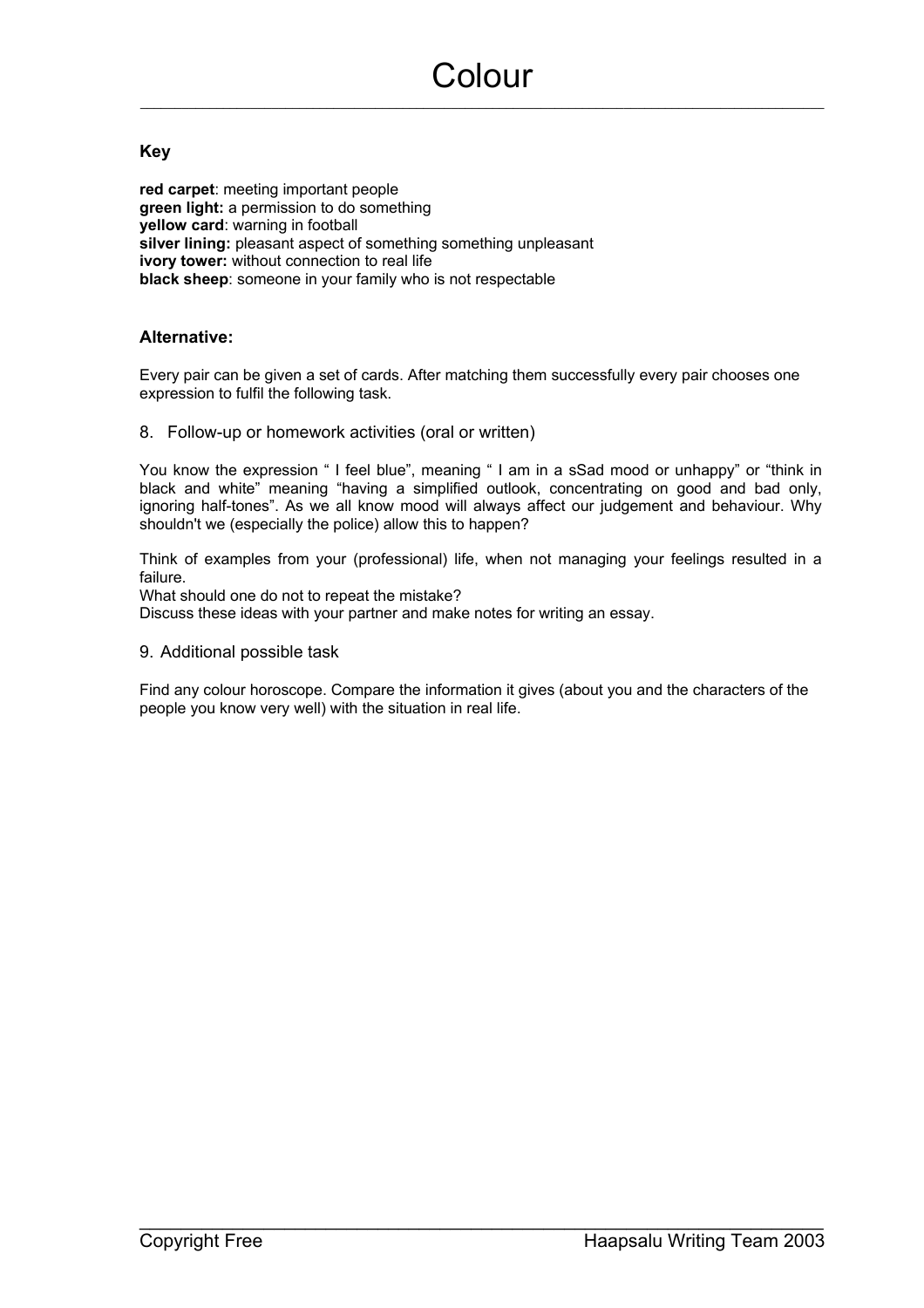## **Key**

**red carpet**: meeting important people **green light:** a permission to do something **yellow card**: warning in football **silver lining:** pleasant aspect of something something unpleasant **ivory tower:** without connection to real life **black sheep**: someone in your family who is not respectable

### **Alternative:**

Every pair can be given a set of cards. After matching them successfully every pair chooses one expression to fulfil the following task.

8. Follow-up or homework activities (oral or written)

You know the expression " I feel blue", meaning " I am in a sSad mood or unhappy" or "think in black and white" meaning "having a simplified outlook, concentrating on good and bad only, ignoring half-tones". As we all know mood will always affect our judgement and behaviour. Why shouldn't we (especially the police) allow this to happen?

Think of examples from your (professional) life, when not managing your feelings resulted in a failure.

What should one do not to repeat the mistake?

Discuss these ideas with your partner and make notes for writing an essay.

9. Additional possible task

Find any colour horoscope. Compare the information it gives (about you and the characters of the people you know very well) with the situation in real life.